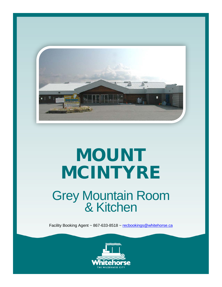

## MOUNT MCINTYRE

# Grey Mountain Room<br>& Kitchen

Facility Booking Agent ~ 867-633-8518 ~ [recbookings@whitehorse.ca](mailto:recbookings@whitehorse.ca)

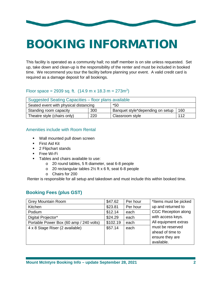

### BOOKING INFORMATION

This facility is operated as a community hall; no staff member is on site unless requested. Set up, take down and clean-up is the responsibility of the renter and must be included in booked time. We recommend you tour the facility before planning your event. A valid credit card is required as a damage deposit for all bookings.

#### Floor space = 2939 sq. ft.  $(14.9 \text{ m} \times 18.3 \text{ m} = 273 \text{ m}^2)$

| Suggested Seating Capacities - floor plans available |     |                                  |     |  |  |
|------------------------------------------------------|-----|----------------------------------|-----|--|--|
| Seated event with physical distancing                |     | *50                              |     |  |  |
| Standing room capacity                               | 300 | Banquet style*depending on setup | 160 |  |  |
| Theatre style (chairs only)                          | 220 | Classroom style                  | 112 |  |  |

#### Amenities include with Room Rental

- **Wall mounted pull down screen**
- **First Aid Kit**
- 2 Flipchart stands
- **Free Wi-Fi**
- **Tables and chairs available to use:** 
	- o 20 round tables, 5 ft diameter, seat 6-8 people
	- o 20 rectangular tables 2½ ft x 6 ft, seat 6-8 people
	- o Chairs for 200

Renter is responsible for all setup and takedown and must include this within booked time.

#### **Booking Fees (plus GST)**

| <b>Grey Mountain Room</b>               | \$47.62  | Per hour | *Items must be picked                                                 |  |
|-----------------------------------------|----------|----------|-----------------------------------------------------------------------|--|
| Kitchen                                 | \$23.81  | Per hour | up and returned to                                                    |  |
| Podium                                  | \$12.14  | each     | <b>CGC Reception along</b>                                            |  |
| Digital Projector*                      | \$24.29  | each     | with access keys.                                                     |  |
| Portable Power Box (60 amp / 240 volts) | \$102.19 | each     | All equipment extras                                                  |  |
| 4 x 8 Stage Riser (2 available)         | \$57.14  | each     | must be reserved<br>ahead of time to<br>ensure they are<br>available. |  |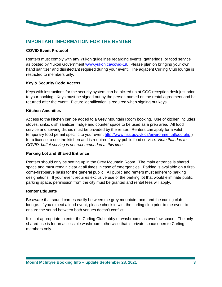

#### **IMPORTANT INFORMATION FOR THE RENTER**

#### **COVID Event Protocol**

Renters must comply with any Yukon guidelines regarding events, gatherings, or food service as posted by Yukon Government [www.yukon.ca/covid-19.](http://www.yukon.ca/covid-19) Please plan on bringing your own hand sanitizer and disinfectant required during your event. The adjacent Curling Club lounge is restricted to members only.

#### **Key & Security Code Access**

Keys with instructions for the security system can be picked up at CGC reception desk just prior to your booking. Keys must be signed out by the person named on the rental agreement and be returned after the event. Picture identification is required when signing out keys.

#### **Kitchen Amenities**

Access to the kitchen can be added to a Grey Mountain Room booking. Use of kitchen includes stoves, sinks, dish sanitizer, fridge and counter space to be used as a prep area. All food service and serving dishes must be provided by the renter. Renters can apply for a valid temporary food permit specific to your event<http://www.hss.gov.yk.ca/environmentalfood.php> ) for a license to use the kitchen and is required for any public food service. *Note that due to COVID, buffet serving is not recommended at this time.* 

#### **Parking Lot and Shared Entrance**

Renters should only be setting up in the Grey Mountain Room. The main entrance is shared space and must remain clear at all times in case of emergencies. Parking is available on a firstcome-first-serve basis for the general public. All public and renters must adhere to parking designations. If your event requires exclusive use of the parking lot that would eliminate public parking space, permission from the city must be granted and rental fees will apply.

#### **Renter Etiquette**

Be aware that sound carries easily between the grey mountain room and the curling club lounge. If you expect a loud event, please check in with the curling club prior to the event to ensure the sound between both venues doesn't conflict.

It is not appropriate to enter the Curling Club lobby or washrooms as overflow space. The only shared use is for an accessible washroom, otherwise that is private space open to Curling members only.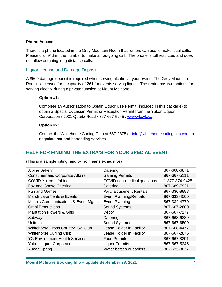

#### **Phone Access**

There is a phone located in the Grey Mountain Room that renters can use to make local calls. Please dial '9' then the number to make an outgoing call. The phone is toll restricted and does not allow outgoing long distance calls.

#### Liquor License and Damage Deposit

A \$500 damage deposit is required when serving alcohol at your event. The Grey Mountain Room is licensed for a capacity of 261 for events serving liquor. The renter has two options for serving alcohol during a private function at Mount McIntyre:

#### **Option #1:**

Complete an Authorization to Obtain Liquor Use Permit (included in this package) to obtain a Special Occasion Permit or Reception Permit from the Yukon Liquor Corporation / 9031 Quartz Road / 867-667-5245 / [www.ylc.yk.ca.](http://www.ylc.yk.ca/)

#### **Option #2:**

Contact the Whitehorse Curling Club at 667-2875 or [info@whitehorsecurlingclub.com](mailto:info@whitehorsecurlingclub.com) to negotiate bar and bartending services.

#### **HELP FOR FINDING THE EXTRA'S FOR YOUR SPECIAL EVENT**

| <b>Alpine Bakery</b>                  | Catering                       | 867-668-6871   |
|---------------------------------------|--------------------------------|----------------|
| <b>Consumer and Corporate Affairs</b> | <b>Gaming Permits</b>          | 867-667-5111   |
| <b>COVID Yukon InfoLine</b>           | COVID non-medical questions    | 1-877-374-0425 |
| Fox and Goose Catering                | Catering                       | 867-689-7921   |
| <b>Fun and Games</b>                  | <b>Party Equipment Rentals</b> | 867-336-8888   |
| Marsh Lake Tents & Events             | <b>Event Planning/Rentals</b>  | 867-633-4500   |
| Mosaic Communications & Event Mgmt.   | <b>Event Planning</b>          | 867-334-4770   |
| <b>Omni Productions</b>               | <b>Sound Systems</b>           | 867-667-2600   |
| <b>Plantation Flowers &amp; Gifts</b> | Décor                          | 867-667-7177   |
| Subway                                | Catering                       | 867-668-6889   |
| Unitech                               | Sound Systems                  | 867-667-6500   |
| Whitehorse Cross Country Ski Club     | Lease Holder in Facility       | 867-668-4477   |
| <b>Whitehorse Curling Club</b>        | Lease Holder in Facility       | 867-667-2875   |
| <b>YG Environment Health Services</b> | <b>Food Permits</b>            | 867-667-8391   |
| <b>Yukon Liquor Corporation</b>       | <b>Liquor Permits</b>          | 867-667-5245   |
| <b>Yukon Spring</b>                   | Water bottles or coolers       | 867-633-3877   |

(This is a sample listing, and by no means exhaustive)